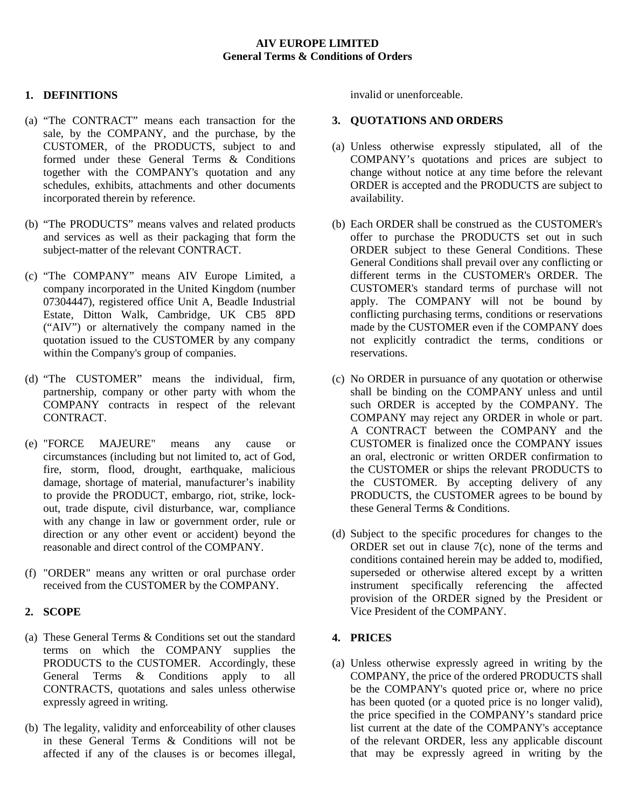### **AIV EUROPE LIMITED General Terms & Conditions of Orders**

# **1. DEFINITIONS**

- (a) "The CONTRACT" means each transaction for the sale, by the COMPANY, and the purchase, by the CUSTOMER, of the PRODUCTS, subject to and formed under these General Terms & Conditions together with the COMPANY's quotation and any schedules, exhibits, attachments and other documents incorporated therein by reference.
- (b) "The PRODUCTS" means valves and related products and services as well as their packaging that form the subject-matter of the relevant CONTRACT.
- (c) "The COMPANY" means AIV Europe Limited, a company incorporated in the United Kingdom (number 07304447), registered office Unit A, Beadle Industrial Estate, Ditton Walk, Cambridge, UK CB5 8PD ("AIV") or alternatively the company named in the quotation issued to the CUSTOMER by any company within the Company's group of companies.
- (d) "The CUSTOMER" means the individual, firm, partnership, company or other party with whom the COMPANY contracts in respect of the relevant CONTRACT.
- (e) "FORCE MAJEURE" means any cause or circumstances (including but not limited to, act of God, fire, storm, flood, drought, earthquake, malicious damage, shortage of material, manufacturer's inability to provide the PRODUCT, embargo, riot, strike, lockout, trade dispute, civil disturbance, war, compliance with any change in law or government order, rule or direction or any other event or accident) beyond the reasonable and direct control of the COMPANY.
- (f) "ORDER" means any written or oral purchase order received from the CUSTOMER by the COMPANY.

### **2. SCOPE**

- (a) These General Terms & Conditions set out the standard terms on which the COMPANY supplies the PRODUCTS to the CUSTOMER. Accordingly, these General Terms & Conditions apply to all CONTRACTS, quotations and sales unless otherwise expressly agreed in writing.
- (b) The legality, validity and enforceability of other clauses in these General Terms & Conditions will not be affected if any of the clauses is or becomes illegal,

invalid or unenforceable.

#### **3. QUOTATIONS AND ORDERS**

- (a) Unless otherwise expressly stipulated, all of the COMPANY's quotations and prices are subject to change without notice at any time before the relevant ORDER is accepted and the PRODUCTS are subject to availability.
- (b) Each ORDER shall be construed as the CUSTOMER's offer to purchase the PRODUCTS set out in such ORDER subject to these General Conditions. These General Conditions shall prevail over any conflicting or different terms in the CUSTOMER's ORDER. The CUSTOMER's standard terms of purchase will not apply. The COMPANY will not be bound by conflicting purchasing terms, conditions or reservations made by the CUSTOMER even if the COMPANY does not explicitly contradict the terms, conditions or reservations.
- (c) No ORDER in pursuance of any quotation or otherwise shall be binding on the COMPANY unless and until such ORDER is accepted by the COMPANY. The COMPANY may reject any ORDER in whole or part. A CONTRACT between the COMPANY and the CUSTOMER is finalized once the COMPANY issues an oral, electronic or written ORDER confirmation to the CUSTOMER or ships the relevant PRODUCTS to the CUSTOMER. By accepting delivery of any PRODUCTS, the CUSTOMER agrees to be bound by these General Terms & Conditions.
- (d) Subject to the specific procedures for changes to the ORDER set out in clause 7(c), none of the terms and conditions contained herein may be added to, modified, superseded or otherwise altered except by a written instrument specifically referencing the affected provision of the ORDER signed by the President or Vice President of the COMPANY.

# **4. PRICES**

(a) Unless otherwise expressly agreed in writing by the COMPANY, the price of the ordered PRODUCTS shall be the COMPANY's quoted price or, where no price has been quoted (or a quoted price is no longer valid), the price specified in the COMPANY's standard price list current at the date of the COMPANY's acceptance of the relevant ORDER, less any applicable discount that may be expressly agreed in writing by the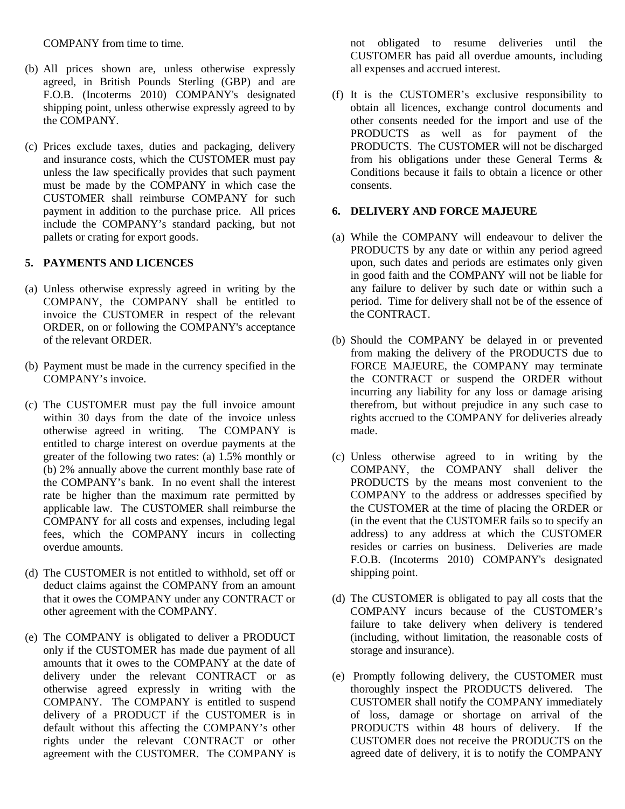COMPANY from time to time.

- (b) All prices shown are, unless otherwise expressly agreed, in British Pounds Sterling (GBP) and are F.O.B. (Incoterms 2010) COMPANY's designated shipping point, unless otherwise expressly agreed to by the COMPANY.
- (c) Prices exclude taxes, duties and packaging, delivery and insurance costs, which the CUSTOMER must pay unless the law specifically provides that such payment must be made by the COMPANY in which case the CUSTOMER shall reimburse COMPANY for such payment in addition to the purchase price. All prices include the COMPANY's standard packing, but not pallets or crating for export goods.

# **5. PAYMENTS AND LICENCES**

- (a) Unless otherwise expressly agreed in writing by the COMPANY, the COMPANY shall be entitled to invoice the CUSTOMER in respect of the relevant ORDER, on or following the COMPANY's acceptance of the relevant ORDER.
- (b) Payment must be made in the currency specified in the COMPANY's invoice.
- (c) The CUSTOMER must pay the full invoice amount within 30 days from the date of the invoice unless otherwise agreed in writing. The COMPANY is entitled to charge interest on overdue payments at the greater of the following two rates: (a) 1.5% monthly or (b) 2% annually above the current monthly base rate of the COMPANY's bank. In no event shall the interest rate be higher than the maximum rate permitted by applicable law. The CUSTOMER shall reimburse the COMPANY for all costs and expenses, including legal fees, which the COMPANY incurs in collecting overdue amounts.
- (d) The CUSTOMER is not entitled to withhold, set off or deduct claims against the COMPANY from an amount that it owes the COMPANY under any CONTRACT or other agreement with the COMPANY.
- (e) The COMPANY is obligated to deliver a PRODUCT only if the CUSTOMER has made due payment of all amounts that it owes to the COMPANY at the date of delivery under the relevant CONTRACT or as otherwise agreed expressly in writing with the COMPANY. The COMPANY is entitled to suspend delivery of a PRODUCT if the CUSTOMER is in default without this affecting the COMPANY's other rights under the relevant CONTRACT or other agreement with the CUSTOMER. The COMPANY is

not obligated to resume deliveries until the CUSTOMER has paid all overdue amounts, including all expenses and accrued interest.

(f) It is the CUSTOMER's exclusive responsibility to obtain all licences, exchange control documents and other consents needed for the import and use of the PRODUCTS as well as for payment of the PRODUCTS. The CUSTOMER will not be discharged from his obligations under these General Terms & Conditions because it fails to obtain a licence or other consents.

# **6. DELIVERY AND FORCE MAJEURE**

- (a) While the COMPANY will endeavour to deliver the PRODUCTS by any date or within any period agreed upon, such dates and periods are estimates only given in good faith and the COMPANY will not be liable for any failure to deliver by such date or within such a period. Time for delivery shall not be of the essence of the CONTRACT.
- (b) Should the COMPANY be delayed in or prevented from making the delivery of the PRODUCTS due to FORCE MAJEURE, the COMPANY may terminate the CONTRACT or suspend the ORDER without incurring any liability for any loss or damage arising therefrom, but without prejudice in any such case to rights accrued to the COMPANY for deliveries already made.
- (c) Unless otherwise agreed to in writing by the COMPANY, the COMPANY shall deliver the PRODUCTS by the means most convenient to the COMPANY to the address or addresses specified by the CUSTOMER at the time of placing the ORDER or (in the event that the CUSTOMER fails so to specify an address) to any address at which the CUSTOMER resides or carries on business. Deliveries are made F.O.B. (Incoterms 2010) COMPANY's designated shipping point.
- (d) The CUSTOMER is obligated to pay all costs that the COMPANY incurs because of the CUSTOMER's failure to take delivery when delivery is tendered (including, without limitation, the reasonable costs of storage and insurance).
- (e) Promptly following delivery, the CUSTOMER must thoroughly inspect the PRODUCTS delivered. The CUSTOMER shall notify the COMPANY immediately of loss, damage or shortage on arrival of the PRODUCTS within 48 hours of delivery. If the CUSTOMER does not receive the PRODUCTS on the agreed date of delivery, it is to notify the COMPANY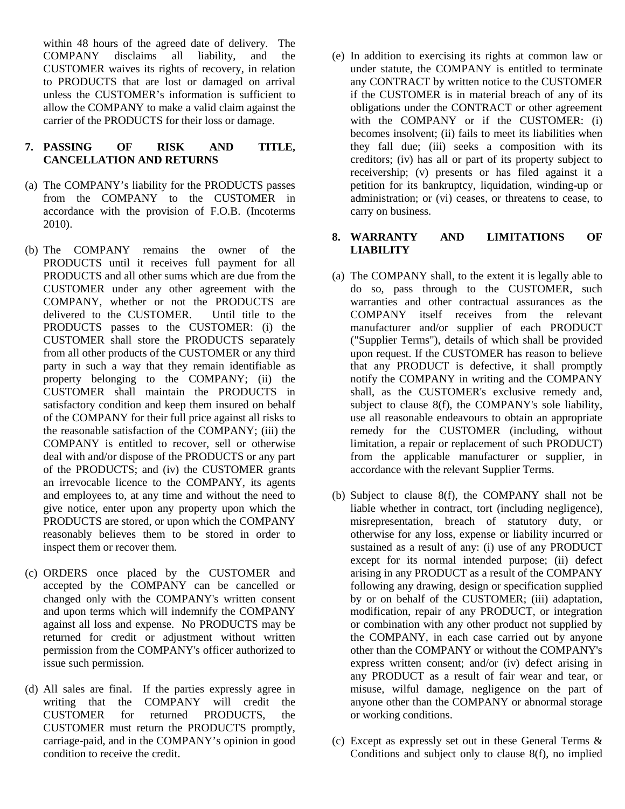within 48 hours of the agreed date of delivery. The COMPANY disclaims all liability, and the CUSTOMER waives its rights of recovery, in relation to PRODUCTS that are lost or damaged on arrival unless the CUSTOMER's information is sufficient to allow the COMPANY to make a valid claim against the carrier of the PRODUCTS for their loss or damage.

# **7. PASSING OF RISK AND TITLE, CANCELLATION AND RETURNS**

- (a) The COMPANY's liability for the PRODUCTS passes from the COMPANY to the CUSTOMER in accordance with the provision of F.O.B. (Incoterms 2010).
- (b) The COMPANY remains the owner of the PRODUCTS until it receives full payment for all PRODUCTS and all other sums which are due from the CUSTOMER under any other agreement with the COMPANY, whether or not the PRODUCTS are delivered to the CUSTOMER. Until title to the PRODUCTS passes to the CUSTOMER: (i) the CUSTOMER shall store the PRODUCTS separately from all other products of the CUSTOMER or any third party in such a way that they remain identifiable as property belonging to the COMPANY; (ii) the CUSTOMER shall maintain the PRODUCTS in satisfactory condition and keep them insured on behalf of the COMPANY for their full price against all risks to the reasonable satisfaction of the COMPANY; (iii) the COMPANY is entitled to recover, sell or otherwise deal with and/or dispose of the PRODUCTS or any part of the PRODUCTS; and (iv) the CUSTOMER grants an irrevocable licence to the COMPANY, its agents and employees to, at any time and without the need to give notice, enter upon any property upon which the PRODUCTS are stored, or upon which the COMPANY reasonably believes them to be stored in order to inspect them or recover them.
- (c) ORDERS once placed by the CUSTOMER and accepted by the COMPANY can be cancelled or changed only with the COMPANY's written consent and upon terms which will indemnify the COMPANY against all loss and expense. No PRODUCTS may be returned for credit or adjustment without written permission from the COMPANY's officer authorized to issue such permission.
- (d) All sales are final. If the parties expressly agree in writing that the COMPANY will credit the CUSTOMER for returned PRODUCTS, the CUSTOMER must return the PRODUCTS promptly, carriage-paid, and in the COMPANY's opinion in good condition to receive the credit.

(e) In addition to exercising its rights at common law or under statute, the COMPANY is entitled to terminate any CONTRACT by written notice to the CUSTOMER if the CUSTOMER is in material breach of any of its obligations under the CONTRACT or other agreement with the COMPANY or if the CUSTOMER: (i) becomes insolvent; (ii) fails to meet its liabilities when they fall due; (iii) seeks a composition with its creditors; (iv) has all or part of its property subject to receivership; (v) presents or has filed against it a petition for its bankruptcy, liquidation, winding-up or administration; or (vi) ceases, or threatens to cease, to carry on business.

### **8. WARRANTY AND LIMITATIONS OF LIABILITY**

- (a) The COMPANY shall, to the extent it is legally able to do so, pass through to the CUSTOMER, such warranties and other contractual assurances as the COMPANY itself receives from the relevant manufacturer and/or supplier of each PRODUCT ("Supplier Terms"), details of which shall be provided upon request. If the CUSTOMER has reason to believe that any PRODUCT is defective, it shall promptly notify the COMPANY in writing and the COMPANY shall, as the CUSTOMER's exclusive remedy and, subject to clause 8(f), the COMPANY's sole liability, use all reasonable endeavours to obtain an appropriate remedy for the CUSTOMER (including, without limitation, a repair or replacement of such PRODUCT) from the applicable manufacturer or supplier, in accordance with the relevant Supplier Terms.
- (b) Subject to clause 8(f), the COMPANY shall not be liable whether in contract, tort (including negligence), misrepresentation, breach of statutory duty, or otherwise for any loss, expense or liability incurred or sustained as a result of any: (i) use of any PRODUCT except for its normal intended purpose; (ii) defect arising in any PRODUCT as a result of the COMPANY following any drawing, design or specification supplied by or on behalf of the CUSTOMER; (iii) adaptation, modification, repair of any PRODUCT, or integration or combination with any other product not supplied by the COMPANY, in each case carried out by anyone other than the COMPANY or without the COMPANY's express written consent; and/or (iv) defect arising in any PRODUCT as a result of fair wear and tear, or misuse, wilful damage, negligence on the part of anyone other than the COMPANY or abnormal storage or working conditions.
- (c) Except as expressly set out in these General Terms & Conditions and subject only to clause 8(f), no implied